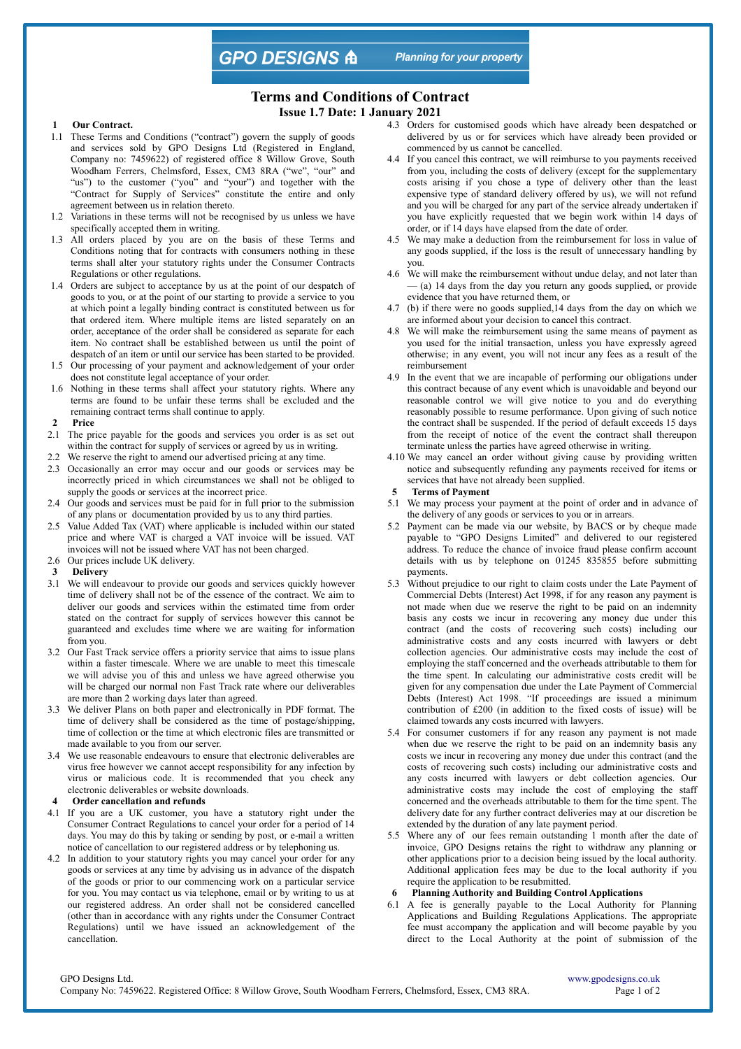**GPO DESIGNS A** 

**Planning for your property** 

# **Terms and Conditions of Contract**

**Issue 1.7 Date: 1 January 2021**

#### **Our Contract.**

- 1.1 These Terms and Conditions ("contract") govern the supply of goods and services sold by GPO Designs Ltd (Registered in England, Company no: 7459622) of registered office 8 Willow Grove, South Woodham Ferrers, Chelmsford, Essex, CM3 8RA ("we", "our" and "us") to the customer ("you" and "your") and together with the "Contract for Supply of Services" constitute the entire and only agreement between us in relation thereto.
- 1.2 Variations in these terms will not be recognised by us unless we have specifically accepted them in writing.
- 1.3 All orders placed by you are on the basis of these Terms and Conditions noting that for contracts with consumers nothing in these terms shall alter your statutory rights under the Consumer Contracts Regulations or other regulations.
- 1.4 Orders are subject to acceptance by us at the point of our despatch of goods to you, or at the point of our starting to provide a service to you at which point a legally binding contract is constituted between us for that ordered item. Where multiple items are listed separately on an order, acceptance of the order shall be considered as separate for each item. No contract shall be established between us until the point of despatch of an item or until our service has been started to be provided.
- 1.5 Our processing of your payment and acknowledgement of your order does not constitute legal acceptance of your order.
- 1.6 Nothing in these terms shall affect your statutory rights. Where any terms are found to be unfair these terms shall be excluded and the remaining contract terms shall continue to apply.
- **2 Price**
- 2.1 The price payable for the goods and services you order is as set out
- within the contract for supply of services or agreed by us in writing. 2.2 We reserve the right to amend our advertised pricing at any time.
- 2.3 Occasionally an error may occur and our goods or services may be incorrectly priced in which circumstances we shall not be obliged to supply the goods or services at the incorrect price.
- 2.4 Our goods and services must be paid for in full prior to the submission of any plans or documentation provided by us to any third parties.
- 2.5 Value Added Tax (VAT) where applicable is included within our stated price and where VAT is charged a VAT invoice will be issued. VAT invoices will not be issued where VAT has not been charged.
- 2.6 Our prices include UK delivery.
- **3 Delivery**
- 3.1 We will endeavour to provide our goods and services quickly however time of delivery shall not be of the essence of the contract. We aim to deliver our goods and services within the estimated time from order stated on the contract for supply of services however this cannot be guaranteed and excludes time where we are waiting for information from you.
- 3.2 Our Fast Track service offers a priority service that aims to issue plans within a faster timescale. Where we are unable to meet this timescale we will advise you of this and unless we have agreed otherwise you will be charged our normal non Fast Track rate where our deliverables are more than 2 working days later than agreed.
- 3.3 We deliver Plans on both paper and electronically in PDF format. The time of delivery shall be considered as the time of postage/shipping, time of collection or the time at which electronic files are transmitted or made available to you from our server.
- 3.4 We use reasonable endeavours to ensure that electronic deliverables are virus free however we cannot accept responsibility for any infection by virus or malicious code. It is recommended that you check any electronic deliverables or website downloads.
- **4 Order cancellation and refunds**
- 4.1 If you are a UK customer, you have a statutory right under the Consumer Contract Regulations to cancel your order for a period of 14 days. You may do this by taking or sending by post, or e-mail a written notice of cancellation to our registered address or by telephoning us.
- 4.2 In addition to your statutory rights you may cancel your order for any goods or services at any time by advising us in advance of the dispatch of the goods or prior to our commencing work on a particular service for you. You may contact us via telephone, email or by writing to us at our registered address. An order shall not be considered cancelled (other than in accordance with any rights under the Consumer Contract Regulations) until we have issued an acknowledgement of the cancellation.
- 4.3 Orders for customised goods which have already been despatched or delivered by us or for services which have already been provided or commenced by us cannot be cancelled.
- 4.4 If you cancel this contract, we will reimburse to you payments received from you, including the costs of delivery (except for the supplementary costs arising if you chose a type of delivery other than the least expensive type of standard delivery offered by us), we will not refund and you will be charged for any part of the service already undertaken if you have explicitly requested that we begin work within 14 days of order, or if 14 days have elapsed from the date of order.
- 4.5 We may make a deduction from the reimbursement for loss in value of any goods supplied, if the loss is the result of unnecessary handling by you.
- 4.6 We will make the reimbursement without undue delay, and not later than — (a) 14 days from the day you return any goods supplied, or provide evidence that you have returned them, or
- 4.7 (b) if there were no goods supplied,14 days from the day on which we are informed about your decision to cancel this contract.
- 4.8 We will make the reimbursement using the same means of payment as you used for the initial transaction, unless you have expressly agreed otherwise; in any event, you will not incur any fees as a result of the reimbursement
- 4.9 In the event that we are incapable of performing our obligations under this contract because of any event which is unavoidable and beyond our reasonable control we will give notice to you and do everything reasonably possible to resume performance. Upon giving of such notice the contract shall be suspended. If the period of default exceeds 15 days from the receipt of notice of the event the contract shall thereupon terminate unless the parties have agreed otherwise in writing.
- 4.10 We may cancel an order without giving cause by providing written notice and subsequently refunding any payments received for items or services that have not already been supplied.
- **Terms of Payment**
- 5.1 We may process your payment at the point of order and in advance of the delivery of any goods or services to you or in arrears.
- 5.2 Payment can be made via our website, by BACS or by cheque made payable to "GPO Designs Limited" and delivered to our registered address. To reduce the chance of invoice fraud please confirm account details with us by telephone on 01245 835855 before submitting payments.
- 5.3 Without prejudice to our right to claim costs under the Late Payment of Commercial Debts (Interest) Act 1998, if for any reason any payment is not made when due we reserve the right to be paid on an indemnity basis any costs we incur in recovering any money due under this contract (and the costs of recovering such costs) including our administrative costs and any costs incurred with lawyers or debt collection agencies. Our administrative costs may include the cost of employing the staff concerned and the overheads attributable to them for the time spent. In calculating our administrative costs credit will be given for any compensation due under the Late Payment of Commercial Debts (Interest) Act 1998. "If proceedings are issued a minimum contribution of £200 (in addition to the fixed costs of issue) will be claimed towards any costs incurred with lawyers.
- 5.4 For consumer customers if for any reason any payment is not made when due we reserve the right to be paid on an indemnity basis any costs we incur in recovering any money due under this contract (and the costs of recovering such costs) including our administrative costs and any costs incurred with lawyers or debt collection agencies. Our administrative costs may include the cost of employing the staff concerned and the overheads attributable to them for the time spent. The delivery date for any further contract deliveries may at our discretion be extended by the duration of any late payment period.
- 5.5 Where any of our fees remain outstanding 1 month after the date of invoice, GPO Designs retains the right to withdraw any planning or other applications prior to a decision being issued by the local authority. Additional application fees may be due to the local authority if you require the application to be resubmitted.
- **6 Planning Authority and Building Control Applications**
- 6.1 A fee is generally payable to the Local Authority for Planning Applications and Building Regulations Applications. The appropriate fee must accompany the application and will become payable by you direct to the Local Authority at the point of submission of the